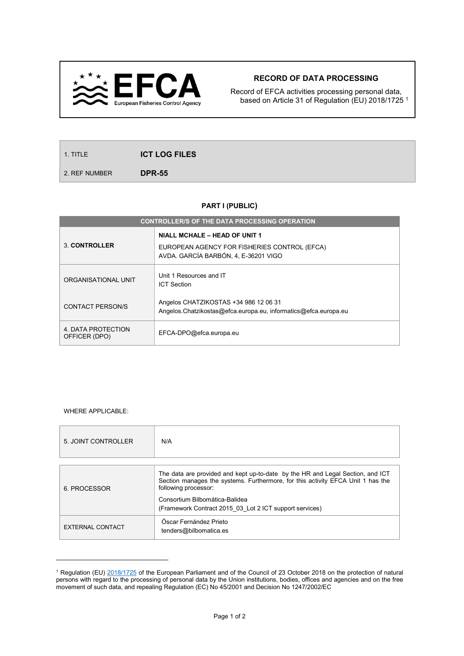

## RECORD OF DATA PROCESSING

Record of EFCA activities processing personal data, based on Article 31 of Regulation (EU) 2018/1725 <sup>1</sup>

1. TITLE **ICT LOG FILES** 

2. REF NUMBER
DPR-55

## PART I (PUBLIC)

| <b>CONTROLLER/S OF THE DATA PROCESSING OPERATION</b> |                                                                                                          |  |  |  |
|------------------------------------------------------|----------------------------------------------------------------------------------------------------------|--|--|--|
| 3. CONTROLLER                                        | <b>NIALL MCHALE - HEAD OF UNIT 1</b>                                                                     |  |  |  |
|                                                      | EUROPEAN AGENCY FOR FISHERIES CONTROL (EFCA)<br>AVDA, GARCÍA BARBÓN, 4, E-36201 VIGO                     |  |  |  |
| ORGANISATIONAL UNIT                                  | Unit 1 Resources and IT<br><b>ICT Section</b>                                                            |  |  |  |
| CONTACT PERSON/S                                     | Angelos CHATZIKOSTAS +34 986 12 06 31<br>Angelos.Chatzikostas@efca.europa.eu, informatics@efca.europa.eu |  |  |  |
| 4. DATA PROTECTION<br>OFFICER (DPO)                  | EFCA-DPO@efca.europa.eu                                                                                  |  |  |  |

## WHERE APPLICABLE:

 $\overline{a}$ 

| 5. JOINT CONTROLLER | N/A                                                                                                     |
|---------------------|---------------------------------------------------------------------------------------------------------|
| 6. PROCESSOR        | The data are provided and kept up-to-date by the HR and Legal Section, and ICT                          |
|                     | Section manages the systems. Furthermore, for this activity EFCA Unit 1 has the<br>following processor: |
|                     | Consortium Bilbomática-Balidea<br>(Framework Contract 2015 03 Lot 2 ICT support services)               |
| EXTERNAL CONTACT    | Óscar Fernández Prieto<br>tenders@bilbomatica.es                                                        |

<sup>&</sup>lt;sup>1</sup> Regulation (EU) 2018/1725 of the European Parliament and of the Council of 23 October 2018 on the protection of natural persons with regard to the processing of personal data by the Union institutions, bodies, offices and agencies and on the free movement of such data, and repealing Regulation (EC) No 45/2001 and Decision No 1247/2002/EC